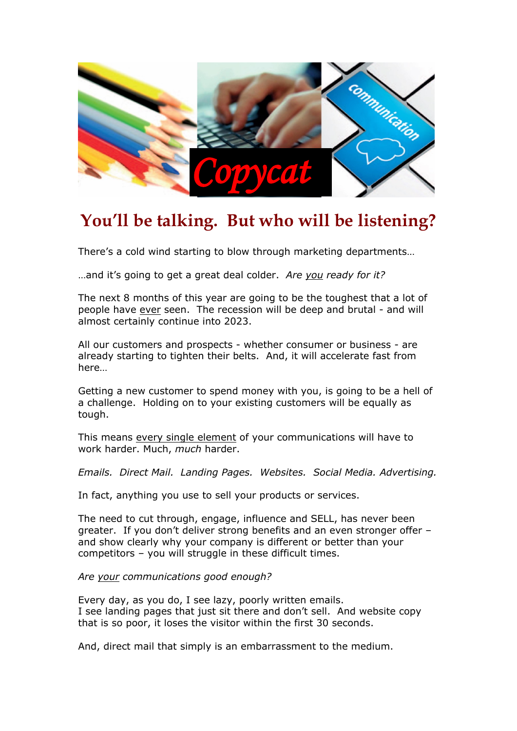

## **You'll be talking. But who will be listening?**

There's a cold wind starting to blow through marketing departments…

…and it's going to get a great deal colder. *Are you ready for it?*

The next 8 months of this year are going to be the toughest that a lot of people have ever seen. The recession will be deep and brutal - and will almost certainly continue into 2023.

All our customers and prospects - whether consumer or business - are already starting to tighten their belts. And, it will accelerate fast from here…

Getting a new customer to spend money with you, is going to be a hell of a challenge. Holding on to your existing customers will be equally as tough.

This means every single element of your communications will have to work harder. Much, *much* harder.

*Emails. Direct Mail. Landing Pages. Websites. Social Media. Advertising.*

In fact, anything you use to sell your products or services.

The need to cut through, engage, influence and SELL, has never been greater. If you don't deliver strong benefits and an even stronger offer – and show clearly why your company is different or better than your competitors – you will struggle in these difficult times.

*Are your communications good enough?*

Every day, as you do, I see lazy, poorly written emails. I see landing pages that just sit there and don't sell. And website copy that is so poor, it loses the visitor within the first 30 seconds.

And, direct mail that simply is an embarrassment to the medium.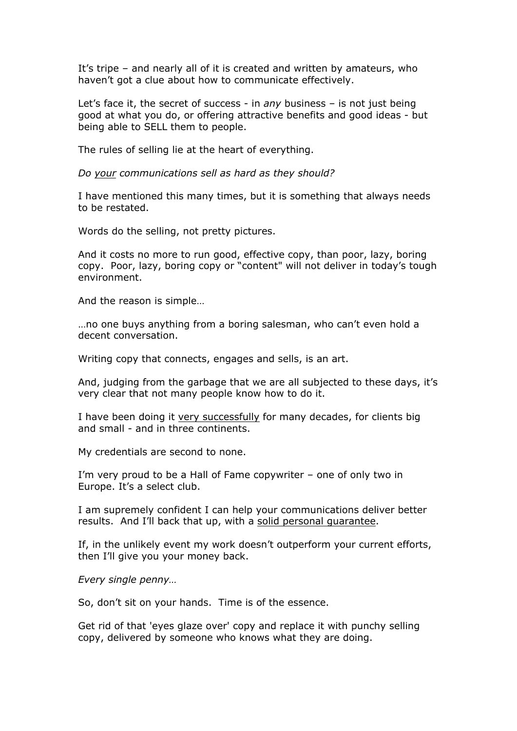It's tripe – and nearly all of it is created and written by amateurs, who haven't got a clue about how to communicate effectively.

Let's face it, the secret of success - in *any* business – is not just being good at what you do, or offering attractive benefits and good ideas - but being able to SELL them to people.

The rules of selling lie at the heart of everything.

*Do your communications sell as hard as they should?*

I have mentioned this many times, but it is something that always needs to be restated.

Words do the selling, not pretty pictures.

And it costs no more to run good, effective copy, than poor, lazy, boring copy. Poor, lazy, boring copy or "content" will not deliver in today's tough environment.

And the reason is simple…

…no one buys anything from a boring salesman, who can't even hold a decent conversation.

Writing copy that connects, engages and sells, is an art.

And, judging from the garbage that we are all subjected to these days, it's very clear that not many people know how to do it.

I have been doing it very successfully for many decades, for clients big and small - and in three continents.

My credentials are second to none.

I'm very proud to be a Hall of Fame copywriter – one of only two in Europe. It's a select club.

I am supremely confident I can help your communications deliver better results. And I'll back that up, with a solid personal guarantee.

If, in the unlikely event my work doesn't outperform your current efforts, then I'll give you your money back.

*Every single penny…*

So, don't sit on your hands. Time is of the essence.

Get rid of that 'eyes glaze over' copy and replace it with punchy selling copy, delivered by someone who knows what they are doing.